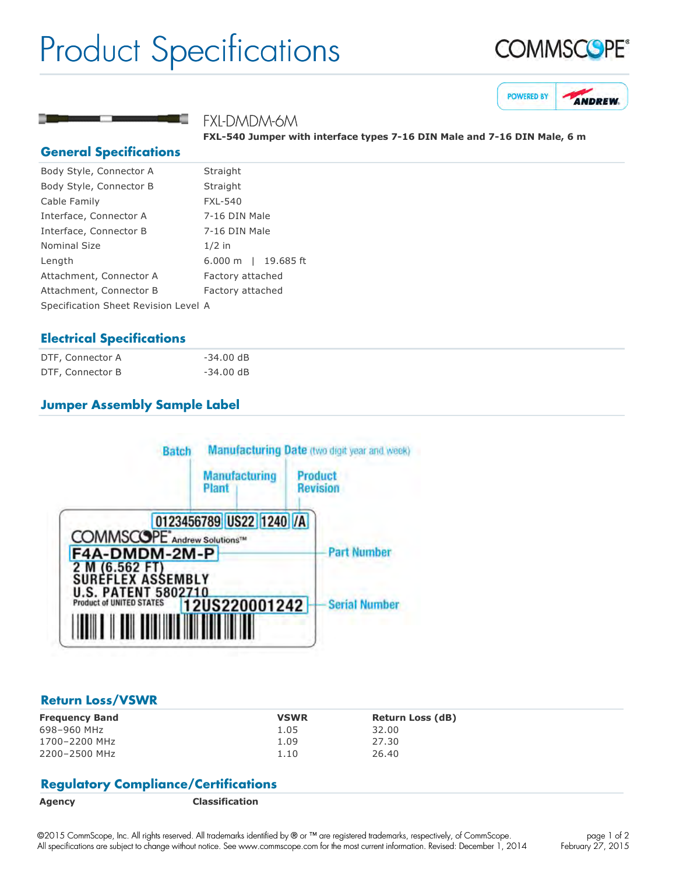# Product Specifications





FXL-DMDM-6M

**FXL540 Jumper with interface types 716 DIN Male and 716 DIN Male, 6 m**

### **General Specifications**

| Body Style, Connector A              | Straight            |  |
|--------------------------------------|---------------------|--|
| Body Style, Connector B              | Straight            |  |
| Cable Family                         | <b>FXL-540</b>      |  |
| Interface, Connector A               | 7-16 DIN Male       |  |
| Interface, Connector B               | 7-16 DIN Male       |  |
| <b>Nominal Size</b>                  | $1/2$ in            |  |
| Length                               | 6.000 m   19.685 ft |  |
| Attachment, Connector A              | Factory attached    |  |
| Attachment, Connector B              | Factory attached    |  |
| Specification Sheet Revision Level A |                     |  |
|                                      |                     |  |

# **Electrical Specifications**

| DTF, Connector A | $-34.00$ dB |
|------------------|-------------|
| DTF, Connector B | $-34.00$ dB |

# **Jumper Assembly Sample Label**



### **Return Loss/VSWR**

| <b>Frequency Band</b> | <b>VSWR</b> | <b>Return Loss (dB)</b> |
|-----------------------|-------------|-------------------------|
| 698-960 MHz           | 1.05        | 32.00                   |
| 1700-2200 MHz         | 1.09        | 27.30                   |
| 2200-2500 MHz         | 1.10        | 26.40                   |

# **Regulatory Compliance/Certifications**

**Agency Classification**

©2015 CommScope, Inc. All rights reserved. All trademarks identified by ® or ™ are registered trademarks, respectively, of CommScope. All specifications are subject to change without notice. See www.commscope.com for the most current information. Revised: December 1, 2014